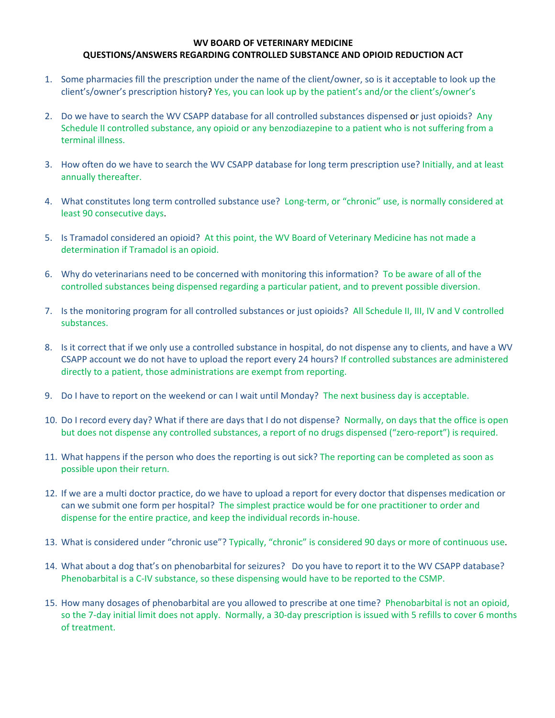## **WV BOARD OF VETERINARY MEDICINE QUESTIONS/ANSWERS REGARDING CONTROLLED SUBSTANCE AND OPIOID REDUCTION ACT**

- 1. Some pharmacies fill the prescription under the name of the client/owner, so is it acceptable to look up the client's/owner's prescription history? Yes, you can look up by the patient's and/or the client's/owner's
- 2. Do we have to search the WV CSAPP database for all controlled substances dispensed or just opioids? Any Schedule II controlled substance, any opioid or any benzodiazepine to a patient who is not suffering from a terminal illness.
- 3. How often do we have to search the WV CSAPP database for long term prescription use? Initially, and at least annually thereafter.
- 4. What constitutes long term controlled substance use? Long-term, or "chronic" use, is normally considered at least 90 consecutive days.
- 5. Is Tramadol considered an opioid? At this point, the WV Board of Veterinary Medicine has not made a determination if Tramadol is an opioid.
- 6. Why do veterinarians need to be concerned with monitoring this information? To be aware of all of the controlled substances being dispensed regarding a particular patient, and to prevent possible diversion.
- 7. Is the monitoring program for all controlled substances or just opioids? All Schedule II, III, IV and V controlled substances.
- 8. Is it correct that if we only use a controlled substance in hospital, do not dispense any to clients, and have a WV CSAPP account we do not have to upload the report every 24 hours? If controlled substances are administered directly to a patient, those administrations are exempt from reporting.
- 9. Do I have to report on the weekend or can I wait until Monday? The next business day is acceptable.
- 10. Do I record every day? What if there are days that I do not dispense? Normally, on days that the office is open but does not dispense any controlled substances, a report of no drugs dispensed ("zero-report") is required.
- 11. What happens if the person who does the reporting is out sick? The reporting can be completed as soon as possible upon their return.
- 12. If we are a multi doctor practice, do we have to upload a report for every doctor that dispenses medication or can we submit one form per hospital? The simplest practice would be for one practitioner to order and dispense for the entire practice, and keep the individual records in‐house.
- 13. What is considered under "chronic use"? Typically, "chronic" is considered 90 days or more of continuous use.
- 14. What about a dog that's on phenobarbital for seizures? Do you have to report it to the WV CSAPP database? Phenobarbital is a C‐IV substance, so these dispensing would have to be reported to the CSMP.
- 15. How many dosages of phenobarbital are you allowed to prescribe at one time? Phenobarbital is not an opioid, so the 7-day initial limit does not apply. Normally, a 30-day prescription is issued with 5 refills to cover 6 months of treatment.